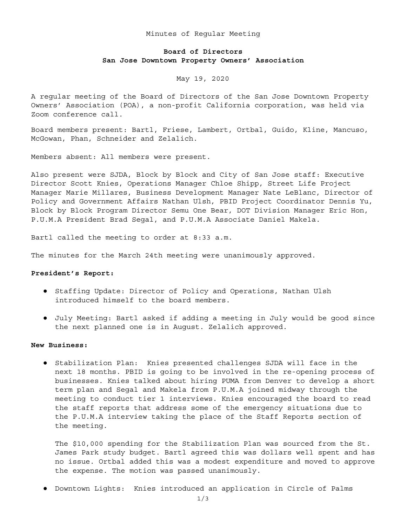### Minutes of Regular Meeting

# **Board of Directors San Jose Downtown Property Owners' Association**

# May 19, 2020

A regular meeting of the Board of Directors of the San Jose Downtown Property Owners' Association (POA), a non-profit California corporation, was held via Zoom conference call.

Board members present: Bartl, Friese, Lambert, Ortbal, Guido, Kline, Mancuso, McGowan, Phan, Schneider and Zelalich.

Members absent: All members were present.

Also present were SJDA, Block by Block and City of San Jose staff: Executive Director Scott Knies, Operations Manager Chloe Shipp, Street Life Project Manager Marie Millares, Business Development Manager Nate LeBlanc, Director of Policy and Government Affairs Nathan Ulsh, PBID Project Coordinator Dennis Yu, Block by Block Program Director Semu One Bear, DOT Division Manager Eric Hon, P.U.M.A President Brad Segal, and P.U.M.A Associate Daniel Makela.

Bartl called the meeting to order at 8:33 a.m.

The minutes for the March 24th meeting were unanimously approved.

#### **President's Report:**

- Staffing Update: Director of Policy and Operations, Nathan Ulsh introduced himself to the board members.
- July Meeting: Bartl asked if adding a meeting in July would be good since the next planned one is in August. Zelalich approved.

## **New Business:**

● Stabilization Plan: Knies presented challenges SJDA will face in the next 18 months. PBID is going to be involved in the re-opening process of businesses. Knies talked about hiring PUMA from Denver to develop a short term plan and Segal and Makela from P.U.M.A joined midway through the meeting to conduct tier 1 interviews. Knies encouraged the board to read the staff reports that address some of the emergency situations due to the P.U.M.A interview taking the place of the Staff Reports section of the meeting.

The \$10,000 spending for the Stabilization Plan was sourced from the St. James Park study budget. Bartl agreed this was dollars well spent and has no issue. Ortbal added this was a modest expenditure and moved to approve the expense. The motion was passed unanimously.

● Downtown Lights: Knies introduced an application in Circle of Palms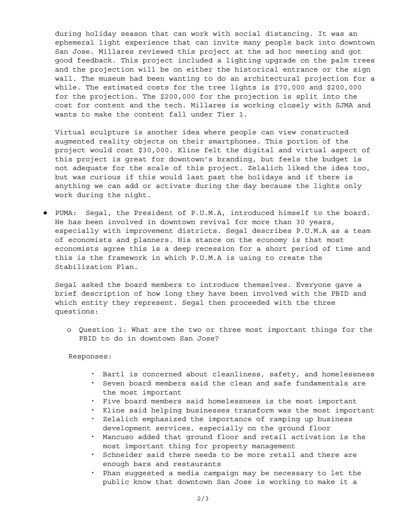during holiday season that can work with social distancing. It was an ephemeral light experience that can invite many people back into downtown San Jose. Millares reviewed this project at the ad hoc meeting and got good feedback. This project included a lighting upgrade on the palm trees and the projection will be on either the historical entrance or the sign wall. The museum had been wanting to do an architectural projection for a while. The estimated costs for the tree lights is \$70,000 and \$200,000 for the projection. The \$200,000 for the projection is split into the cost for content and the tech. Millares is working closely with SJMA and wants to make the content fall under Tier 1.

Virtual sculpture is another idea where people can view constructed augmented reality objects on their smartphones. This portion of the project would cost \$30,000. Kline felt the digital and virtual aspect of this project is great for downtown's branding, but feels the budget is not adequate for the scale of this project. Zelalich liked the idea too, but was curious if this would last past the holidays and if there is anything we can add or activate during the day because the lights only work during the night.

● PUMA: Segal, the President of P.U.M.A, introduced himself to the board. He has been involved in downtown revival for more than 30 years, especially with improvement districts. Segal describes P.U.M.A as a team of economists and planners. His stance on the economy is that most economists agree this is a deep recession for a short period of time and this is the framework in which P.U.M.A is using to create the Stabilization Plan.

Segal asked the board members to introduce themselves. Everyone gave a brief description of how long they have been involved with the PBID and which entity they represent. Segal then proceeded with the three questions:

o Question 1: What are the two or three most important things for the PBID to do in downtown San Jose?

### Responses:

- Bartl is concerned about cleanliness, safety, and homelessness ▪ Seven board members said the clean and safe fundamentals are
- the most important
- Five board members said homelessness is the most important
- Kline said helping businesses transform was the most important
- Zelalich emphasized the importance of ramping up business development services, especially on the ground floor
- Mancuso added that ground floor and retail activation is the most important thing for property management
- Schneider said there needs to be more retail and there are enough bars and restaurants
- Phan suggested a media campaign may be necessary to let the public know that downtown San Jose is working to make it a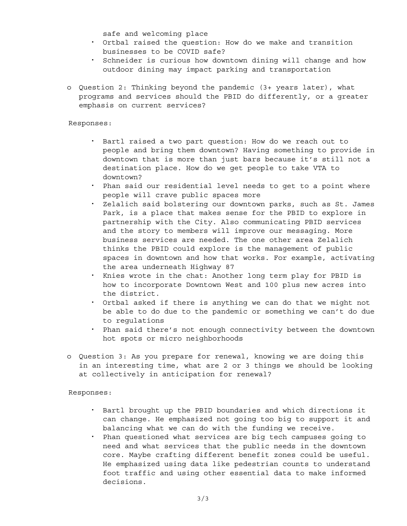safe and welcoming place

- Ortbal raised the question: How do we make and transition businesses to be COVID safe?
- Schneider is curious how downtown dining will change and how outdoor dining may impact parking and transportation
- o Question 2: Thinking beyond the pandemic (3+ years later), what programs and services should the PBID do differently, or a greater emphasis on current services?

Responses:

- Bartl raised a two part question: How do we reach out to people and bring them downtown? Having something to provide in downtown that is more than just bars because it's still not a destination place. How do we get people to take VTA to downtown?
- . Phan said our residential level needs to get to a point where people will crave public spaces more
- Zelalich said bolstering our downtown parks, such as St. James Park, is a place that makes sense for the PBID to explore in partnership with the City. Also communicating PBID services and the story to members will improve our messaging. More business services are needed. The one other area Zelalich thinks the PBID could explore is the management of public spaces in downtown and how that works. For example, activating the area underneath Highway 87
- Knies wrote in the chat: Another long term play for PBID is how to incorporate Downtown West and 100 plus new acres into the district.
- Ortbal asked if there is anything we can do that we might not be able to do due to the pandemic or something we can't do due to regulations
- Phan said there's not enough connectivity between the downtown hot spots or micro neighborhoods
- o Question 3: As you prepare for renewal, knowing we are doing this in an interesting time, what are 2 or 3 things we should be looking at collectively in anticipation for renewal?

Responses:

- Bartl brought up the PBID boundaries and which directions it can change. He emphasized not going too big to support it and balancing what we can do with the funding we receive.
- Phan questioned what services are big tech campuses going to need and what services that the public needs in the downtown core. Maybe crafting different benefit zones could be useful. He emphasized using data like pedestrian counts to understand foot traffic and using other essential data to make informed decisions.